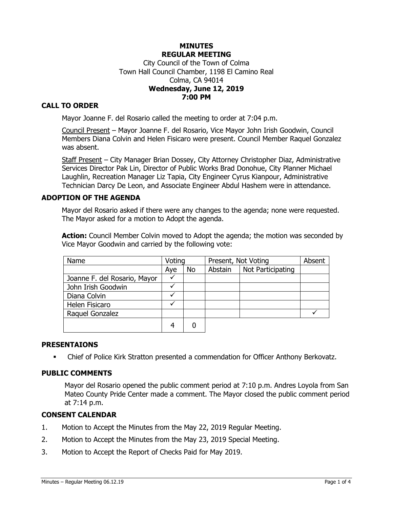# **MINUTES REGULAR MEETING** City Council of the Town of Colma Town Hall Council Chamber, 1198 El Camino Real Colma, CA 94014 **Wednesday, June 12, 2019 7:00 PM**

# **CALL TO ORDER**

Mayor Joanne F. del Rosario called the meeting to order at 7:04 p.m.

Council Present – Mayor Joanne F. del Rosario, Vice Mayor John Irish Goodwin, Council Members Diana Colvin and Helen Fisicaro were present. Council Member Raquel Gonzalez was absent.

Staff Present – City Manager Brian Dossey, City Attorney Christopher Diaz, Administrative Services Director Pak Lin, Director of Public Works Brad Donohue, City Planner Michael Laughlin, Recreation Manager Liz Tapia, City Engineer Cyrus Kianpour, Administrative Technician Darcy De Leon, and Associate Engineer Abdul Hashem were in attendance.

# **ADOPTION OF THE AGENDA**

Mayor del Rosario asked if there were any changes to the agenda; none were requested. The Mayor asked for a motion to Adopt the agenda.

**Action:** Council Member Colvin moved to Adopt the agenda; the motion was seconded by Vice Mayor Goodwin and carried by the following vote:

| Name                         | Voting |    | Present, Not Voting | Absent            |  |
|------------------------------|--------|----|---------------------|-------------------|--|
|                              | Aye    | No | Abstain             | Not Participating |  |
| Joanne F. del Rosario, Mayor |        |    |                     |                   |  |
| John Irish Goodwin           |        |    |                     |                   |  |
| Diana Colvin                 |        |    |                     |                   |  |
| Helen Fisicaro               |        |    |                     |                   |  |
| Raquel Gonzalez              |        |    |                     |                   |  |
|                              |        |    |                     |                   |  |

# **PRESENTAIONS**

**•** Chief of Police Kirk Stratton presented a commendation for Officer Anthony Berkovatz.

#### **PUBLIC COMMENTS**

Mayor del Rosario opened the public comment period at 7:10 p.m. Andres Loyola from San Mateo County Pride Center made a comment. The Mayor closed the public comment period at 7:14 p.m.

#### **CONSENT CALENDAR**

- 1. Motion to Accept the Minutes from the May 22, 2019 Regular Meeting.
- 2. Motion to Accept the Minutes from the May 23, 2019 Special Meeting.
- 3. Motion to Accept the Report of Checks Paid for May 2019.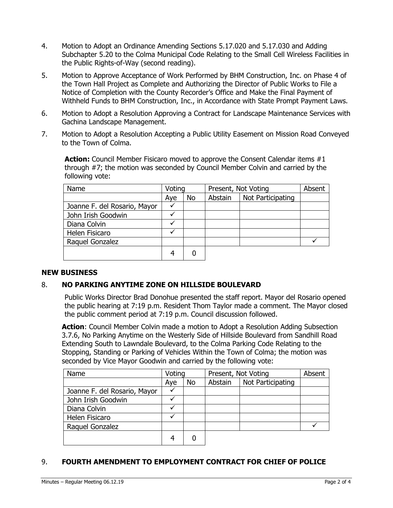- 4. Motion to Adopt an Ordinance Amending Sections 5.17.020 and 5.17.030 and Adding Subchapter 5.20 to the Colma Municipal Code Relating to the Small Cell Wireless Facilities in the Public Rights-of-Way (second reading).
- 5. Motion to Approve Acceptance of Work Performed by BHM Construction, Inc. on Phase 4 of the Town Hall Project as Complete and Authorizing the Director of Public Works to File a Notice of Completion with the County Recorder's Office and Make the Final Payment of Withheld Funds to BHM Construction, Inc., in Accordance with State Prompt Payment Laws.
- 6. Motion to Adopt a Resolution Approving a Contract for Landscape Maintenance Services with Gachina Landscape Management.
- 7. Motion to Adopt a Resolution Accepting a Public Utility Easement on Mission Road Conveyed to the Town of Colma.

Action: Council Member Fisicaro moved to approve the Consent Calendar items #1 through #7; the motion was seconded by Council Member Colvin and carried by the following vote:

| Name                         | Voting |           | Present, Not Voting |                   | Absent |
|------------------------------|--------|-----------|---------------------|-------------------|--------|
|                              | Aye    | <b>No</b> | Abstain             | Not Participating |        |
| Joanne F. del Rosario, Mayor |        |           |                     |                   |        |
| John Irish Goodwin           |        |           |                     |                   |        |
| Diana Colvin                 |        |           |                     |                   |        |
| Helen Fisicaro               |        |           |                     |                   |        |
| Raquel Gonzalez              |        |           |                     |                   |        |
|                              |        |           |                     |                   |        |

# **NEW BUSINESS**

# 8. **NO PARKING ANYTIME ZONE ON HILLSIDE BOULEVARD**

Public Works Director Brad Donohue presented the staff report. Mayor del Rosario opened the public hearing at 7:19 p.m. Resident Thom Taylor made a comment. The Mayor closed the public comment period at 7:19 p.m. Council discussion followed.

**Action**: Council Member Colvin made a motion to Adopt a Resolution Adding Subsection 3.7.6, No Parking Anytime on the Westerly Side of Hillside Boulevard from Sandhill Road Extending South to Lawndale Boulevard, to the Colma Parking Code Relating to the Stopping, Standing or Parking of Vehicles Within the Town of Colma; the motion was seconded by Vice Mayor Goodwin and carried by the following vote:

| Name                         | Voting |    | Present, Not Voting | Absent            |  |
|------------------------------|--------|----|---------------------|-------------------|--|
|                              | Aye    | No | Abstain             | Not Participating |  |
| Joanne F. del Rosario, Mayor |        |    |                     |                   |  |
| John Irish Goodwin           |        |    |                     |                   |  |
| Diana Colvin                 |        |    |                     |                   |  |
| Helen Fisicaro               | ✔      |    |                     |                   |  |
| Raquel Gonzalez              |        |    |                     |                   |  |
|                              | 4      |    |                     |                   |  |

# 9. **FOURTH AMENDMENT TO EMPLOYMENT CONTRACT FOR CHIEF OF POLICE**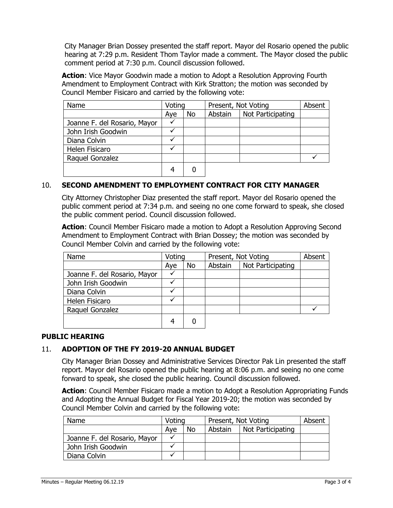City Manager Brian Dossey presented the staff report. Mayor del Rosario opened the public hearing at 7:29 p.m. Resident Thom Taylor made a comment. The Mayor closed the public comment period at 7:30 p.m. Council discussion followed.

**Action**: Vice Mayor Goodwin made a motion to Adopt a Resolution Approving Fourth Amendment to Employment Contract with Kirk Stratton; the motion was seconded by Council Member Fisicaro and carried by the following vote:

| Name                         | Voting |    | Present, Not Voting |                   | Absent |
|------------------------------|--------|----|---------------------|-------------------|--------|
|                              | Aye    | No | Abstain             | Not Participating |        |
| Joanne F. del Rosario, Mayor |        |    |                     |                   |        |
| John Irish Goodwin           |        |    |                     |                   |        |
| Diana Colvin                 |        |    |                     |                   |        |
| Helen Fisicaro               |        |    |                     |                   |        |
| Raquel Gonzalez              |        |    |                     |                   |        |
|                              |        |    |                     |                   |        |

# 10. **SECOND AMENDMENT TO EMPLOYMENT CONTRACT FOR CITY MANAGER**

City Attorney Christopher Diaz presented the staff report. Mayor del Rosario opened the public comment period at 7:34 p.m. and seeing no one come forward to speak, she closed the public comment period. Council discussion followed.

**Action**: Council Member Fisicaro made a motion to Adopt a Resolution Approving Second Amendment to Employment Contract with Brian Dossey; the motion was seconded by Council Member Colvin and carried by the following vote:

| Name                         | Voting |           | Present, Not Voting |                   | Absent |
|------------------------------|--------|-----------|---------------------|-------------------|--------|
|                              | Aye    | <b>No</b> | Abstain             | Not Participating |        |
| Joanne F. del Rosario, Mayor |        |           |                     |                   |        |
| John Irish Goodwin           |        |           |                     |                   |        |
| Diana Colvin                 |        |           |                     |                   |        |
| Helen Fisicaro               |        |           |                     |                   |        |
| Raquel Gonzalez              |        |           |                     |                   |        |
|                              | 4      | 0         |                     |                   |        |

### **PUBLIC HEARING**

# 11. **ADOPTION OF THE FY 2019-20 ANNUAL BUDGET**

City Manager Brian Dossey and Administrative Services Director Pak Lin presented the staff report. Mayor del Rosario opened the public hearing at 8:06 p.m. and seeing no one come forward to speak, she closed the public hearing. Council discussion followed.

**Action**: Council Member Fisicaro made a motion to Adopt a Resolution Appropriating Funds and Adopting the Annual Budget for Fiscal Year 2019-20; the motion was seconded by Council Member Colvin and carried by the following vote:

| Name                         | Voting |           | Present, Not Voting |                   | Absent |
|------------------------------|--------|-----------|---------------------|-------------------|--------|
|                              | Ave    | <b>No</b> | Abstain             | Not Participating |        |
| Joanne F. del Rosario, Mayor |        |           |                     |                   |        |
| John Irish Goodwin           |        |           |                     |                   |        |
| Diana Colvin                 |        |           |                     |                   |        |